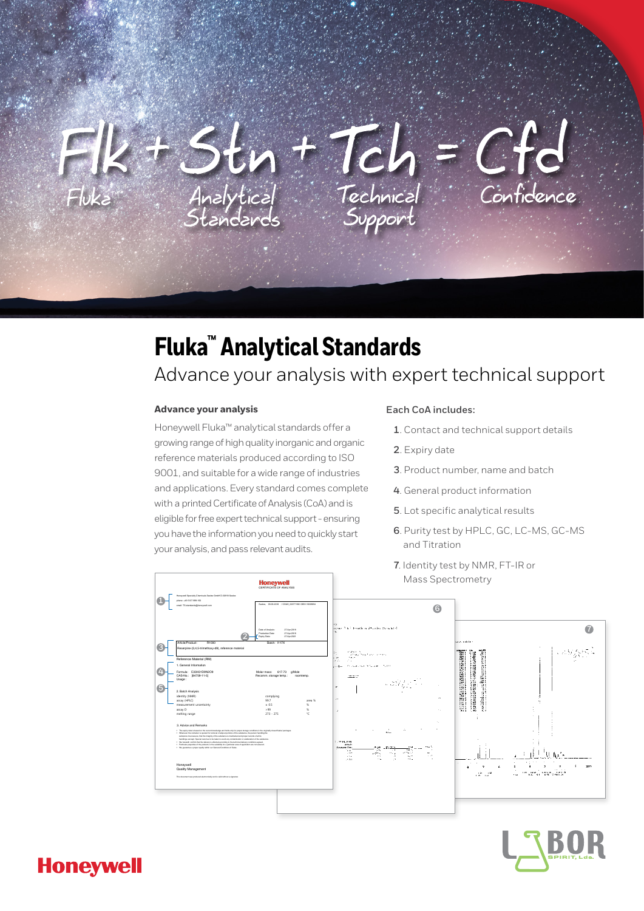

# **Fluka™ Analytical Standards**

# Advance your analysis with expert technical support

### **Advance your analysis**

Honeywell Fluka™ analytical standards offer a growing range of high quality inorganic and organic reference materials produced according to ISO 9001, and suitable for a wide range of industries and applications. Every standard comes complete with a printed Certificate of Analysis (CoA) and is eligible for free expert technical support - ensuring you have the information you need to quickly start your analysis, and pass relevant audits.

#### **Each CoA includes:**

- **1**. Contact and technical support details
- **2**. Expiry date
- **3**. Product number, name and batch
- **4**. General product information
- **5**. Lot specific analytical results
- **6**. Purity test by HPLC, GC, LC-MS, GC-MS and Titration
- **7**. Identity test by NMR, FT-IR or Mass Spectrometry